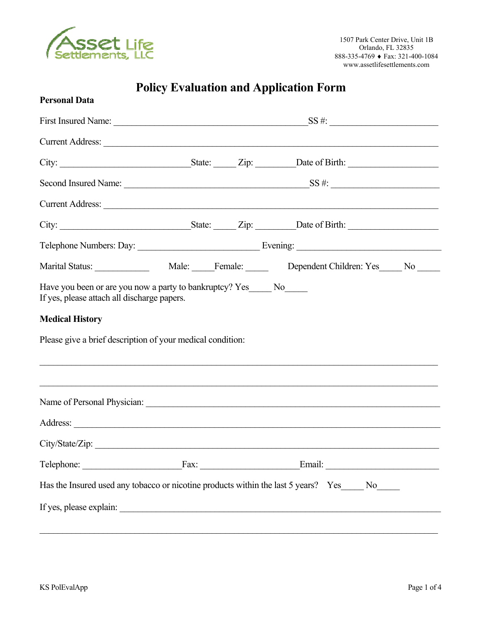

## **Policy Evaluation and Application Form**

| <b>Personal Data</b>                                                                 |  |                                                                                                                                                                       |  |
|--------------------------------------------------------------------------------------|--|-----------------------------------------------------------------------------------------------------------------------------------------------------------------------|--|
|                                                                                      |  |                                                                                                                                                                       |  |
|                                                                                      |  | Current Address: Note and Address and Address and Address and Address and Address and Address and Address and A                                                       |  |
|                                                                                      |  |                                                                                                                                                                       |  |
|                                                                                      |  |                                                                                                                                                                       |  |
|                                                                                      |  | Current Address:                                                                                                                                                      |  |
|                                                                                      |  |                                                                                                                                                                       |  |
|                                                                                      |  |                                                                                                                                                                       |  |
|                                                                                      |  |                                                                                                                                                                       |  |
| <b>Medical History</b><br>Please give a brief description of your medical condition: |  | ,我们也不能在这里的人,我们也不能在这里的人,我们也不能在这里的人,我们也不能在这里的人,我们也不能在这里的人,我们也不能在这里的人,我们也不能在这里的人,我们也<br>,我们也不能在这里的时候,我们也不能在这里的时候,我们也不能不能不能不能不能不能不能不能不能不能不能不能不能不能。""我们的是我们的,我们也不能不能不能不能不能 |  |
|                                                                                      |  |                                                                                                                                                                       |  |
|                                                                                      |  |                                                                                                                                                                       |  |
| City/State/Zip:                                                                      |  |                                                                                                                                                                       |  |
|                                                                                      |  | Telephone: Fax: Fax: Email: Email:                                                                                                                                    |  |
|                                                                                      |  | Has the Insured used any tobacco or nicotine products within the last 5 years? Yes_____ No_____                                                                       |  |
|                                                                                      |  |                                                                                                                                                                       |  |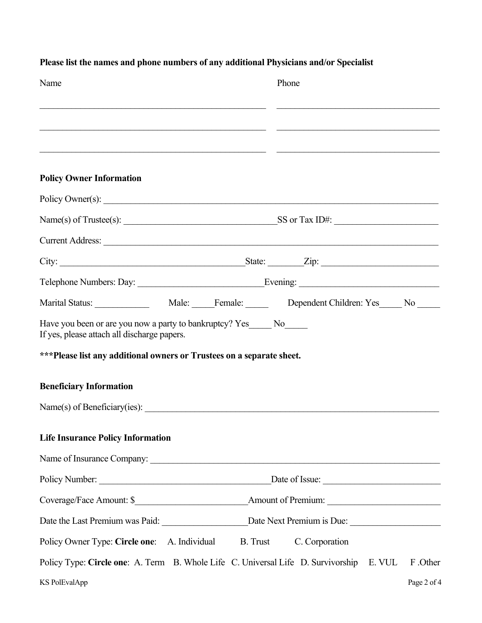| Name                                                                                                                  | Phone                                                                                              |
|-----------------------------------------------------------------------------------------------------------------------|----------------------------------------------------------------------------------------------------|
|                                                                                                                       |                                                                                                    |
|                                                                                                                       |                                                                                                    |
| <b>Policy Owner Information</b>                                                                                       |                                                                                                    |
|                                                                                                                       | Policy Owner(s):                                                                                   |
|                                                                                                                       |                                                                                                    |
|                                                                                                                       | Current Address:                                                                                   |
|                                                                                                                       |                                                                                                    |
|                                                                                                                       |                                                                                                    |
|                                                                                                                       |                                                                                                    |
| Have you been or are you now a party to bankruptcy? Yes______ No______<br>If yes, please attach all discharge papers. |                                                                                                    |
| ***Please list any additional owners or Trustees on a separate sheet.                                                 |                                                                                                    |
| <b>Beneficiary Information</b>                                                                                        |                                                                                                    |
|                                                                                                                       |                                                                                                    |
| <b>Life Insurance Policy Information</b>                                                                              |                                                                                                    |
|                                                                                                                       |                                                                                                    |
|                                                                                                                       |                                                                                                    |
|                                                                                                                       |                                                                                                    |
|                                                                                                                       |                                                                                                    |
| Policy Owner Type: Circle one: A. Individual                                                                          | B. Trust<br>C. Corporation                                                                         |
|                                                                                                                       | Policy Type: Circle one: A. Term B. Whole Life C. Universal Life D. Survivorship E. VUL<br>F.Other |
| <b>KS PolEvalApp</b>                                                                                                  | Page 2 of 4                                                                                        |

## **Please list the names and phone numbers of any additional Physicians and/or Specialist**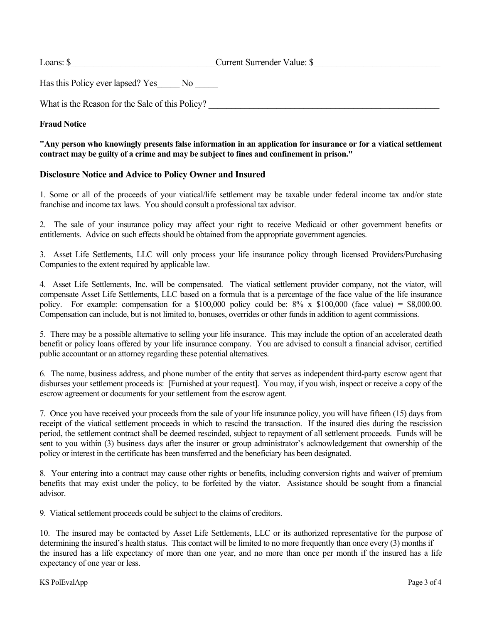What is the Reason for the Sale of this Policy?

#### **Fraud Notice**

#### **"Any person who knowingly presents false information in an application for insurance or for a viatical settlement contract may be guilty of a crime and may be subject to fines and confinement in prison."**

#### **Disclosure Notice and Advice to Policy Owner and Insured**

1. Some or all of the proceeds of your viatical/life settlement may be taxable under federal income tax and/or state franchise and income tax laws. You should consult a professional tax advisor.

2. The sale of your insurance policy may affect your right to receive Medicaid or other government benefits or entitlements. Advice on such effects should be obtained from the appropriate government agencies.

3. Asset Life Settlements, LLC will only process your life insurance policy through licensed Providers/Purchasing Companies to the extent required by applicable law.

4. Asset Life Settlements, Inc. will be compensated. The viatical settlement provider company, not the viator, will compensate Asset Life Settlements, LLC based on a formula that is a percentage of the face value of the life insurance policy. For example: compensation for a \$100,000 policy could be:  $8\% \times $100,000$  (face value) = \$8,000.00. Compensation can include, but is not limited to, bonuses, overrides or other funds in addition to agent commissions.

5. There may be a possible alternative to selling your life insurance. This may include the option of an accelerated death benefit or policy loans offered by your life insurance company. You are advised to consult a financial advisor, certified public accountant or an attorney regarding these potential alternatives.

6. The name, business address, and phone number of the entity that serves as independent third-party escrow agent that disburses your settlement proceeds is: [Furnished at your request]. You may, if you wish, inspect or receive a copy of the escrow agreement or documents for your settlement from the escrow agent.

7. Once you have received your proceeds from the sale of your life insurance policy, you will have fifteen (15) days from receipt of the viatical settlement proceeds in which to rescind the transaction. If the insured dies during the rescission period, the settlement contract shall be deemed rescinded, subject to repayment of all settlement proceeds. Funds will be sent to you within (3) business days after the insurer or group administrator's acknowledgement that ownership of the policy or interest in the certificate has been transferred and the beneficiary has been designated.

8. Your entering into a contract may cause other rights or benefits, including conversion rights and waiver of premium benefits that may exist under the policy, to be forfeited by the viator. Assistance should be sought from a financial advisor.

9. Viatical settlement proceeds could be subject to the claims of creditors.

10. The insured may be contacted by Asset Life Settlements, LLC or its authorized representative for the purpose of determining the insured's health status. This contact will be limited to no more frequently than once every (3) months if the insured has a life expectancy of more than one year, and no more than once per month if the insured has a life expectancy of one year or less.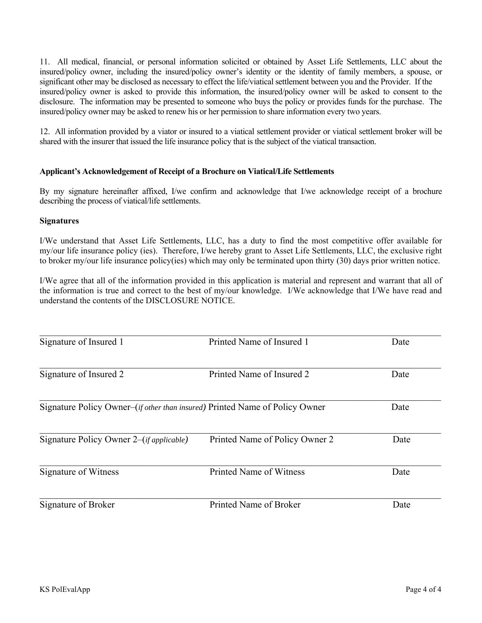11. All medical, financial, or personal information solicited or obtained by Asset Life Settlements, LLC about the insured/policy owner, including the insured/policy owner's identity or the identity of family members, a spouse, or significant other may be disclosed as necessary to effect the life/viatical settlement between you and the Provider. If the insured/policy owner is asked to provide this information, the insured/policy owner will be asked to consent to the disclosure. The information may be presented to someone who buys the policy or provides funds for the purchase. The insured/policy owner may be asked to renew his or her permission to share information every two years.

12. All information provided by a viator or insured to a viatical settlement provider or viatical settlement broker will be shared with the insurer that issued the life insurance policy that is the subject of the viatical transaction.

#### **Applicant's Acknowledgement of Receipt of a Brochure on Viatical/Life Settlements**

By my signature hereinafter affixed, I/we confirm and acknowledge that I/we acknowledge receipt of a brochure describing the process of viatical/life settlements.

#### **Signatures**

I/We understand that Asset Life Settlements, LLC, has a duty to find the most competitive offer available for my/our life insurance policy (ies). Therefore, I/we hereby grant to Asset Life Settlements, LLC, the exclusive right to broker my/our life insurance policy(ies) which may only be terminated upon thirty (30) days prior written notice.

I/We agree that all of the information provided in this application is material and represent and warrant that all of the information is true and correct to the best of my/our knowledge. I/We acknowledge that I/We have read and understand the contents of the DISCLOSURE NOTICE.

| Signature of Insured 1                                                               | Printed Name of Insured 1      | Date |
|--------------------------------------------------------------------------------------|--------------------------------|------|
| Signature of Insured 2                                                               | Printed Name of Insured 2      | Date |
| Signature Policy Owner–( <i>if other than insured</i> ) Printed Name of Policy Owner |                                | Date |
| Signature Policy Owner 2–( <i>if applicable</i> )                                    | Printed Name of Policy Owner 2 | Date |
| Signature of Witness                                                                 | Printed Name of Witness        | Date |
| Signature of Broker                                                                  | Printed Name of Broker         | Date |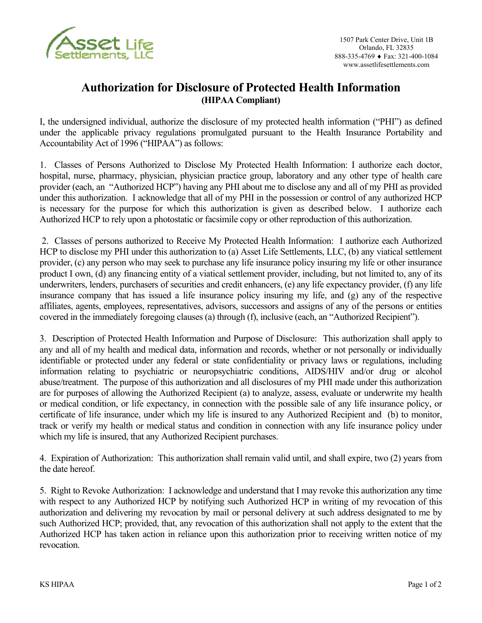

### **Authorization for Disclosure of Protected Health Information (HIPAA Compliant)**

I, the undersigned individual, authorize the disclosure of my protected health information ("PHI") as defined under the applicable privacy regulations promulgated pursuant to the Health Insurance Portability and Accountability Act of 1996 ("HIPAA") as follows:

1. Classes of Persons Authorized to Disclose My Protected Health Information: I authorize each doctor, hospital, nurse, pharmacy, physician, physician practice group, laboratory and any other type of health care provider (each, an "Authorized HCP") having any PHI about me to disclose any and all of my PHI as provided under this authorization. I acknowledge that all of my PHI in the possession or control of any authorized HCP is necessary for the purpose for which this authorization is given as described below. I authorize each Authorized HCP to rely upon a photostatic or facsimile copy or other reproduction of this authorization.

 2. Classes of persons authorized to Receive My Protected Health Information: I authorize each Authorized HCP to disclose my PHI under this authorization to (a) Asset Life Settlements, LLC, (b) any viatical settlement provider, (c) any person who may seek to purchase any life insurance policy insuring my life or other insurance product I own, (d) any financing entity of a viatical settlement provider, including, but not limited to, any of its underwriters, lenders, purchasers of securities and credit enhancers, (e) any life expectancy provider, (f) any life insurance company that has issued a life insurance policy insuring my life, and (g) any of the respective affiliates, agents, employees, representatives, advisors, successors and assigns of any of the persons or entities covered in the immediately foregoing clauses (a) through (f), inclusive (each, an "Authorized Recipient").

3. Description of Protected Health Information and Purpose of Disclosure: This authorization shall apply to any and all of my health and medical data, information and records, whether or not personally or individually identifiable or protected under any federal or state confidentiality or privacy laws or regulations, including information relating to psychiatric or neuropsychiatric conditions, AIDS/HIV and/or drug or alcohol abuse/treatment. The purpose of this authorization and all disclosures of my PHI made under this authorization are for purposes of allowing the Authorized Recipient (a) to analyze, assess, evaluate or underwrite my health or medical condition, or life expectancy, in connection with the possible sale of any life insurance policy, or certificate of life insurance, under which my life is insured to any Authorized Recipient and (b) to monitor, track or verify my health or medical status and condition in connection with any life insurance policy under which my life is insured, that any Authorized Recipient purchases.

4. Expiration of Authorization: This authorization shall remain valid until, and shall expire, two (2) years from the date hereof.

5. Right to Revoke Authorization: I acknowledge and understand that I may revoke this authorization any time with respect to any Authorized HCP by notifying such Authorized HCP in writing of my revocation of this authorization and delivering my revocation by mail or personal delivery at such address designated to me by such Authorized HCP; provided, that, any revocation of this authorization shall not apply to the extent that the Authorized HCP has taken action in reliance upon this authorization prior to receiving written notice of my revocation.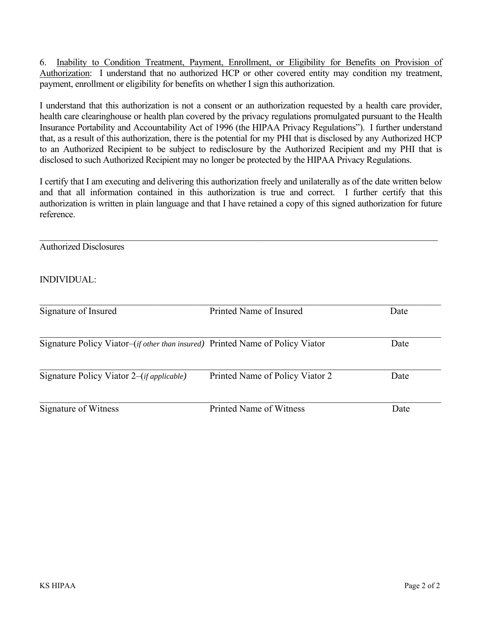6. Inability to Condition Treatment, Payment, Enrollment, or Eligibility for Benefits on Provision of Authorization: I understand that no authorized HCP or other covered entity may condition my treatment, payment, enrollment or eligibility for benefits on whether I sign this authorization.

I understand that this authorization is not a consent or an authorization requested by a health care provider, health care clearinghouse or health plan covered by the privacy regulations promulgated pursuant to the Health Insurance Portability and Accountability Act of 1996 (the HIPAA Privacy Regulations"). I further understand that, as a result of this authorization, there is the potential for my PHI that is disclosed by any Authorized HCP to an Authorized Recipient to be subject to redisclosure by the Authorized Recipient and my PHI that is disclosed to such Authorized Recipient may no longer be protected by the HIPAA Privacy Regulations.

I certify that I am executing and delivering this authorization freely and unilaterally as of the date written below and that all information contained in this authorization is true and correct. I further certify that this authorization is written in plain language and that I have retained a copy of this signed authorization for future reference.

| <b>Authorized Disclosures</b>                                                 |                                 |      |
|-------------------------------------------------------------------------------|---------------------------------|------|
| <b>INDIVIDUAL:</b>                                                            |                                 |      |
| Signature of Insured                                                          | Printed Name of Insured         | Date |
| Signature Policy Viator–(if other than insured) Printed Name of Policy Viator |                                 | Date |
| Signature Policy Viator $2-(if$ applicable)                                   | Printed Name of Policy Viator 2 | Date |
| Signature of Witness                                                          | <b>Printed Name of Witness</b>  | Date |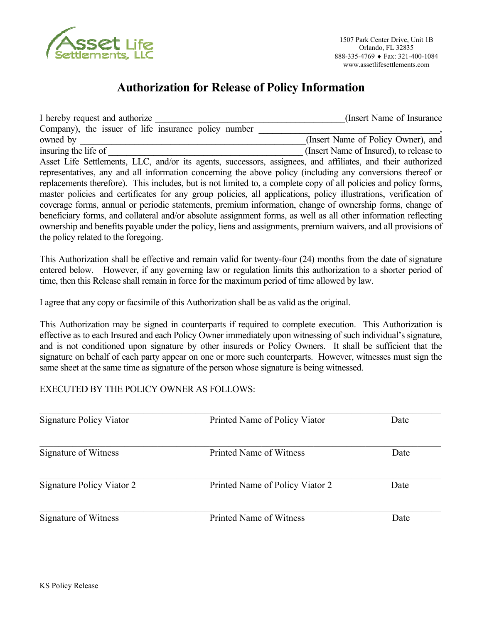

## **Authorization for Release of Policy Information**

I hereby request and authorize **I** hereby request and authorize **I** hereby request and authorize Company), the issuer of life insurance policy number owned by  $(Insert Name of Policy Owner)$ , and insuring the life of  $\Box$  (Insert Name of Insured), to release to Asset Life Settlements, LLC, and/or its agents, successors, assignees, and affiliates, and their authorized representatives, any and all information concerning the above policy (including any conversions thereof or replacements therefore). This includes, but is not limited to, a complete copy of all policies and policy forms, master policies and certificates for any group policies, all applications, policy illustrations, verification of coverage forms, annual or periodic statements, premium information, change of ownership forms, change of beneficiary forms, and collateral and/or absolute assignment forms, as well as all other information reflecting ownership and benefits payable under the policy, liens and assignments, premium waivers, and all provisions of the policy related to the foregoing.

This Authorization shall be effective and remain valid for twenty-four (24) months from the date of signature entered below. However, if any governing law or regulation limits this authorization to a shorter period of time, then this Release shall remain in force for the maximum period of time allowed by law.

I agree that any copy or facsimile of this Authorization shall be as valid as the original.

This Authorization may be signed in counterparts if required to complete execution. This Authorization is effective as to each Insured and each Policy Owner immediately upon witnessing of such individual's signature, and is not conditioned upon signature by other insureds or Policy Owners. It shall be sufficient that the signature on behalf of each party appear on one or more such counterparts. However, witnesses must sign the same sheet at the same time as signature of the person whose signature is being witnessed.

#### EXECUTED BY THE POLICY OWNER AS FOLLOWS:

| <b>Signature Policy Viator</b> | Printed Name of Policy Viator   | Date |  |
|--------------------------------|---------------------------------|------|--|
| Signature of Witness           | Printed Name of Witness         | Date |  |
| Signature Policy Viator 2      | Printed Name of Policy Viator 2 | Date |  |
| Signature of Witness           | Printed Name of Witness         | Date |  |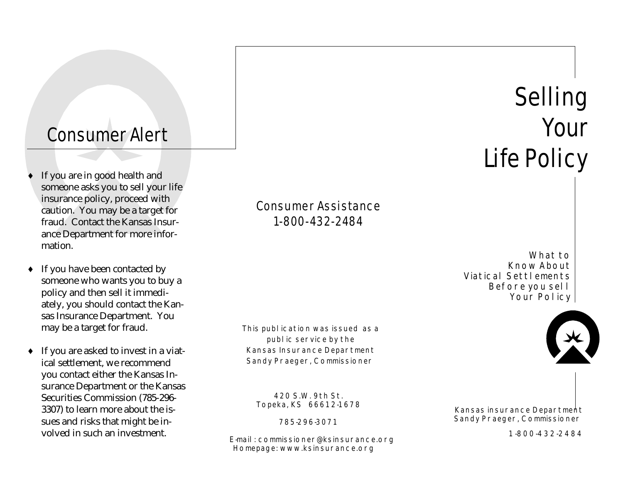## Consumer Alert

- If you are in good health and someone asks you to sell your life insurance policy, proceed with caution. You may be a target for fraud. Contact the Kansas Insurance Department for more information.
- $\bullet$  If you have been contacted by someone who wants you to buy a policy and then sell it immediately, you should contact the Kansas Insurance Department. You may be a target for fraud.
- ♦ If you are asked to invest in a viatical settlement, we recommend you contact either the Kansas Insurance Department or the Kansas Securities Commission (785-296- 3307) to learn more about the issues and risks that might be involved in such an investment.

Consumer Assistance 1-800-432-2484

This publication was issued as a public service by the Kansas Insurance Department Sandy Praeger, Commissioner

420 S.W. 9th St. Topeka, KS 66612-1678

785-296-3071

E-mail: commissioner@ksinsurance.org Homepage: www.ksinsurance.org

Selling Your Life Policy

What to Know About Viatical Settlements Before you sell Your Policy



Kansas insurance Department Sandy Praeger, Commissioner

1-800-432-2484